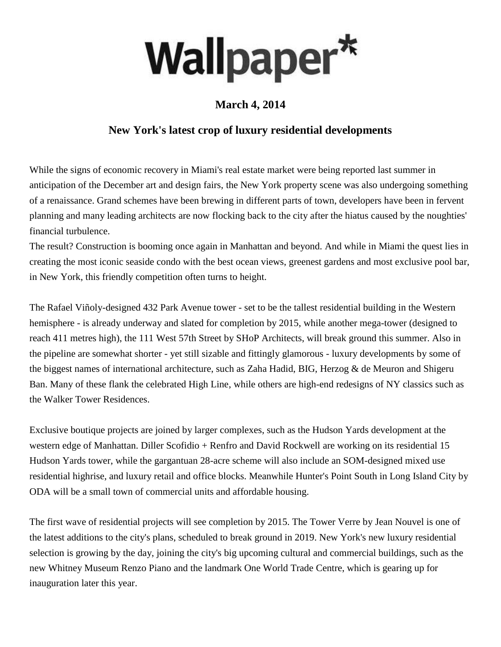## Wallpaper\*

## **March 4, 2014**

## **New York's latest crop of luxury residential developments**

While the signs of economic recovery in [Miami's real estate market](http://www.wallpaper.com/architecture/the-new-residential-developments-set-to-reshape-miamis-skyline/6682) were being reported last summer in anticipation of the [December art and design fairs,](http://www.wallpaper.com/design/design-miami-2013-forms-inspired-by-nature-dominate-the-landscape-at-this-years-fair/7021) the New York property scene was also undergoing something of a renaissance. Grand schemes have been brewing in different parts of town, developers have been in fervent planning and many leading architects are now flocking back to the city after the hiatus caused by the noughties' financial turbulence.

The result? Construction is booming once again in Manhattan and beyond. And while in Miami the quest lies in creating the most iconic seaside condo with the best ocean views, greenest gardens and most exclusive pool bar, in New York, this friendly competition often turns to height.

The [Rafael Viñoly-designed 432 Park Avenue tower](http://www.wallpaper.com/architecture/video-architect-rafael-violy-talks-about-432-park-avenue-new-york/6537) - set to be the tallest residential building in the Western hemisphere - is already underway and slated for completion by 2015, while another mega-tower (designed to reach 411 metres high), the 111 West 57th Street by SHoP Architects, will break ground this summer. Also in the pipeline are somewhat shorter - yet still sizable and fittingly glamorous - luxury developments by some of the biggest names of international architecture, such as [Zaha Hadid,](http://www.wallpaper.com/architecture/heydar-aliyev-centre-by-zaha-hadid-in-baku/6926) BIG, [Herzog & de Meuron](http://www.wallpaper.com/architecture/building-m-the-new-hong-kong-museums-first-architecture-exhibition/7101) and [Shigeru](http://www.wallpaper.com/architecture/garage-centre-pavilion-designed-by-shigeru-ban-in-gorky-park-moscow/6140)  [Ban.](http://www.wallpaper.com/architecture/garage-centre-pavilion-designed-by-shigeru-ban-in-gorky-park-moscow/6140) Many of these flank [the celebrated High Line,](http://www.wallpaper.com/architecture/section-two-of-new-yorks-high-line-park-opens/5314) while others are high-end redesigns of NY classics such as the [Walker Tower Residences.](http://www.wallpaper.com/architecture/new-yorks-iconic-walker-tower-gets-a-new-lease-of-life/6948)

Exclusive boutique projects are joined by larger complexes, such as the Hudson Yards development at the western edge of Manhattan. [Diller Scofidio + Renfro](http://www.wallpaper.com/architecture/architects-diller-scofidio-renfro-design-the-art-of-scent-show-at-mad-ny/6218) and David Rockwell are working on its residential 15 Hudson Yards tower, while the gargantuan 28-acre scheme will also include an SOM-designed mixed use residential highrise, and luxury retail and office blocks. Meanwhile Hunter's Point South in Long Island City by ODA will be a small town of commercial units and affordable housing.

The first wave of residential projects will see completion by 2015. The Tower Verre by [Jean Nouvel](http://www.wallpaper.com/architecture/architect-mia-hgg-collaborates-with-atelier-jean-nouvel-in-bordeaux/6531) is one of the latest additions to the city's plans, scheduled to break ground in 2019. New York's new luxury residential selection is growing by the day, joining the city's big upcoming cultural and commercial buildings, such as [the](http://www.wallpaper.com/architecture/under-construction-the-whitney-museums-new-hq-by-renzo-piano-in-new-york/6852)  [new Whitney Museum Renzo Piano](http://www.wallpaper.com/architecture/under-construction-the-whitney-museums-new-hq-by-renzo-piano-in-new-york/6852) and the landmark One World Trade Centre, which is gearing up for inauguration later this year.